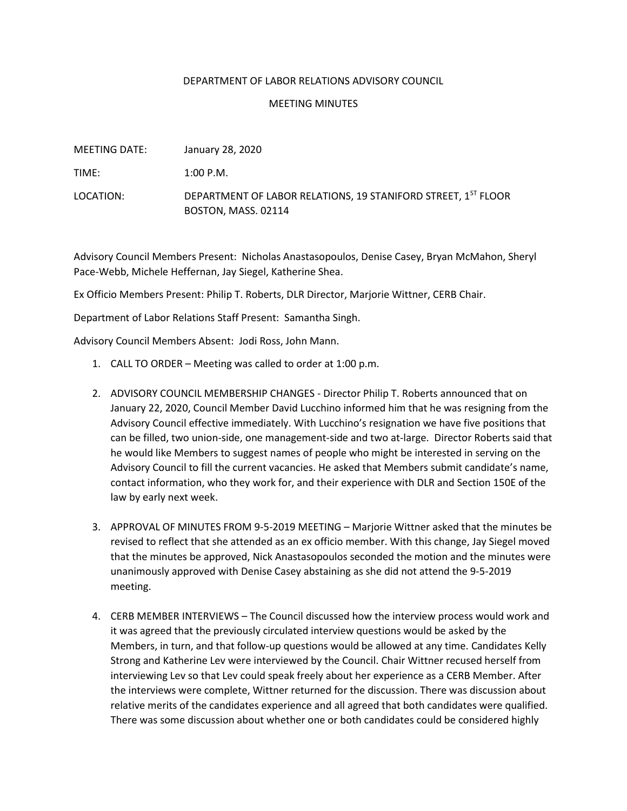## DEPARTMENT OF LABOR RELATIONS ADVISORY COUNCIL

## MEETING MINUTES

| MEETING DATE: | January 28, 2020                                                                     |
|---------------|--------------------------------------------------------------------------------------|
| TIME:         | $1:00$ P.M.                                                                          |
| LOCATION:     | DEPARTMENT OF LABOR RELATIONS, 19 STANIFORD STREET, 1ST FLOOR<br>BOSTON, MASS. 02114 |

Advisory Council Members Present: Nicholas Anastasopoulos, Denise Casey, Bryan McMahon, Sheryl Pace-Webb, Michele Heffernan, Jay Siegel, Katherine Shea.

Ex Officio Members Present: Philip T. Roberts, DLR Director, Marjorie Wittner, CERB Chair.

Department of Labor Relations Staff Present: Samantha Singh.

Advisory Council Members Absent: Jodi Ross, John Mann.

- 1. CALL TO ORDER Meeting was called to order at 1:00 p.m.
- 2. ADVISORY COUNCIL MEMBERSHIP CHANGES Director Philip T. Roberts announced that on January 22, 2020, Council Member David Lucchino informed him that he was resigning from the Advisory Council effective immediately. With Lucchino's resignation we have five positions that can be filled, two union-side, one management-side and two at-large. Director Roberts said that he would like Members to suggest names of people who might be interested in serving on the Advisory Council to fill the current vacancies. He asked that Members submit candidate's name, contact information, who they work for, and their experience with DLR and Section 150E of the law by early next week.
- 3. APPROVAL OF MINUTES FROM 9-5-2019 MEETING Marjorie Wittner asked that the minutes be revised to reflect that she attended as an ex officio member. With this change, Jay Siegel moved that the minutes be approved, Nick Anastasopoulos seconded the motion and the minutes were unanimously approved with Denise Casey abstaining as she did not attend the 9-5-2019 meeting.
- 4. CERB MEMBER INTERVIEWS The Council discussed how the interview process would work and it was agreed that the previously circulated interview questions would be asked by the Members, in turn, and that follow-up questions would be allowed at any time. Candidates Kelly Strong and Katherine Lev were interviewed by the Council. Chair Wittner recused herself from interviewing Lev so that Lev could speak freely about her experience as a CERB Member. After the interviews were complete, Wittner returned for the discussion. There was discussion about relative merits of the candidates experience and all agreed that both candidates were qualified. There was some discussion about whether one or both candidates could be considered highly